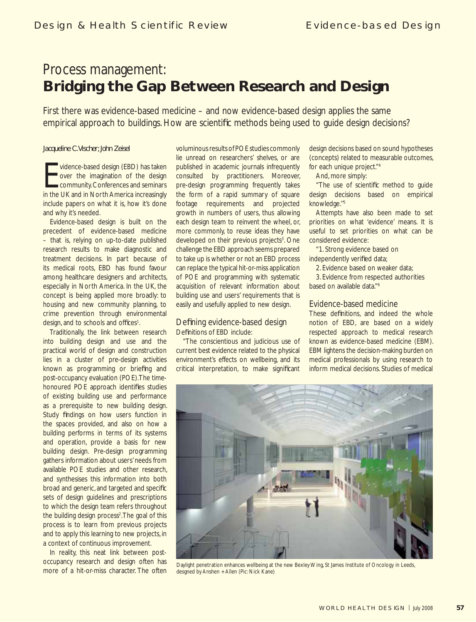# Process management: **Bridging the Gap Between Research and Design**

First there was evidence-based medicine – and now evidence-based design applies the same empirical approach to buildings. How are scientific methods being used to quide design decisions?

### *Jacqueline C. Vischer; John Zeisel*

vidence-based design (EBD) has taken<br>over the imagination of the design<br>community. Conferences and seminars<br>in the UK and in North America increasingly vidence-based design (EBD) has taken over the imagination of the design community. Conferences and seminars include papers on what it is, how it's done and why it's needed.

Evidence-based design is built on the precedent of evidence-based medicine – that is, relying on up-to-date published research results to make diagnostic and treatment decisions. In part because of its medical roots, EBD has found favour among healthcare designers and architects, especially in North America. In the UK, the concept is being applied more broadly: to housing and new community planning, to crime prevention through environmental design, and to schools and offices<sup>1</sup>.

Traditionally, the link between research into building design and use and the practical world of design and construction lies in a cluster of pre-design activities known as programming or briefing and post-occupancy evaluation (POE). The timehonoured POE approach identifies studies of existing building use and performance as a prerequisite to new building design. Study findings on how users function in the spaces provided, and also on how a building performs in terms of its systems and operation, provide a basis for new building design. Pre-design programming gathers information about users' needs from available POE studies and other research, and synthesises this information into both broad and generic, and targeted and specific sets of design guidelines and prescriptions to which the design team refers throughout the building design process<sup>2</sup>. The goal of this process is to learn from previous projects and to apply this learning to new projects, in a context of continuous improvement.

In reality, this neat link between postoccupancy research and design often has more of a hit-or-miss character. The often voluminous results of POE studies commonly lie unread on researchers' shelves, or are published in academic journals infrequently consulted by practitioners. Moreover, pre-design programming frequently takes the form of a rapid summary of square footage requirements and projected growth in numbers of users, thus allowing each design team to reinvent the wheel, or, more commonly, to reuse ideas they have developed on their previous projects<sup>3</sup>. One challenge the EBD approach seems prepared to take up is whether or not an EBD process can replace the typical hit-or-miss application of POE and programming with systematic acquisition of relevant information about building use and users' requirements that is easily and usefully applied to new design.

### Defining evidence-based design Definitions of EBD include:

"The conscientious and judicious use of current best evidence related to the physical environment's effects on wellbeing, and its critical interpretation, to make significant design decisions based on sound hypotheses (concepts) related to measurable outcomes, for each unique project."4

And, more simply:

"The use of scientific method to guide design decisions based on empirical knowledge.''5

Attempts have also been made to set priorities on what 'evidence' means. It is useful to set priorities on what can be considered evidence:

"1. Strong evidence based on independently verified data;

2. Evidence based on weaker data;

3. Evidence from respected authorities based on available data."6

### Evidence-based medicine

These definitions, and indeed the whole notion of EBD, are based on a widely respected approach to medical research known as evidence-based medicine (EBM). EBM lightens the decision-making burden on medical professionals by using research to inform medical decisions. Studies of medical



Daylight penetration enhances wellbeing at the new Bexley Wing, St James Institute of Oncology in Leeds, desgned by Anshen + Allen (Pic: Nick Kane)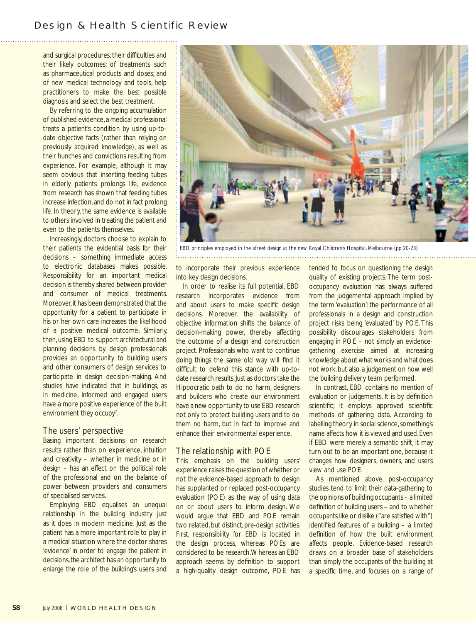## Design & Health Scientific Review

and surgical procedures, their difficulties and their likely outcomes; of treatments such as pharmaceutical products and doses; and of new medical technology and tools, help practitioners to make the best possible diagnosis and select the best treatment.

By referring to the ongoing accumulation of published evidence, a medical professional treats a patient's condition by using up-todate objective facts (rather than relying on previously acquired knowledge), as well as their hunches and convictions resulting from experience. For example, although it may seem obvious that inserting feeding tubes in elderly patients prolongs life, evidence from research has shown that feeding tubes increase infection, and do not in fact prolong life. In theory, the same evidence is available to others involved in treating the patient and even to the patients themselves.

Increasingly, doctors choose to explain to their patients the evidential basis for their decisions – something immediate access to electronic databases makes possible. Responsibility for an important medical decision is thereby shared between provider and consumer of medical treatments. Moreover, it has been demonstrated that the opportunity for a patient to participate in his or her own care increases the likelihood of a positive medical outcome. Similarly, then, using EBD to support architectural and planning decisions by design professionals provides an opportunity to building users and other consumers of design services to participate in design decision-making. And studies have indicated that in buildings, as in medicine, informed and engaged users have a more positive experience of the built environment they occupy<sup>7</sup>. .

### The users' perspective

Basing important decisions on research results rather than on experience, intuition and creativity – whether in medicine or in design – has an effect on the political role of the professional and on the balance of power between providers and consumers of specialised services.

Employing EBD equalises an unequal relationship in the building industry just as it does in modern medicine. Just as the patient has a more important role to play in a medical situation where the doctor shares 'evidence' in order to engage the patient in decisions, the architect has an opportunity to enlarge the role of the building's users and



EBD principles employed in the street design at the new Royal Children's Hospital, Melbourne (pp 20-23) 

to incorporate their previous experience into key design decisions.

In order to realise its full potential, EBD research incorporates evidence from and about users to make specific design decisions. Moreover, the availability of objective information shifts the balance of decision-making power, thereby affecting the outcome of a design and construction project. Professionals who want to continue doing things the same old way will find it difficult to defend this stance with up-todate research results. Just as doctors take the Hippocratic oath to do no harm, designers and builders who create our environment have a new opportunity to use EBD research not only to protect building users and to do them no harm, but in fact to improve and enhance their environmental experience.

### The relationship with POE

This emphasis on the building users' experience raises the question of whether or not the evidence-based approach to design has supplanted or replaced post-occupancy evaluation (POE) as the way of using data on or about users to inform design. We would argue that EBD and POE remain two related, but distinct, pre-design activities. First, responsibility for EBD is located in the design process, whereas POEs are considered to be research. Whereas an EBD approach seems by definition to support a high-quality design outcome, POE has tended to focus on questioning the design quality of existing projects. The term postoccupancy evaluation has always suffered from the judgemental approach implied by the term 'evaluation': the performance of all professionals in a design and construction project risks being 'evaluated' by POE. This possibility discourages stakeholders from engaging in POE – not simply an evidencegathering exercise aimed at increasing knowledge about what works and what does not work, but also a judgement on how well the building delivery team performed.

In contrast, EBD contains no mention of evaluation or judgements. It is by definition scientific; it employs approved scientific methods of gathering data. According to labelling theory in social science, something's name affects how it is viewed and used. Even if EBD were merely a semantic shift, it may turn out to be an important one, because it changes how designers, owners, and users view and use POE.

As mentioned above, post-occupancy studies tend to limit their data-gathering to the opinions of building occupants – a limited definition of building users – and to whether occupants like or dislike ("are satisfied with") identified features of a building  $-$  a limited definition of how the built environment affects people. Evidence-based research draws on a broader base of stakeholders than simply the occupants of the building at a specific time, and focuses on a range of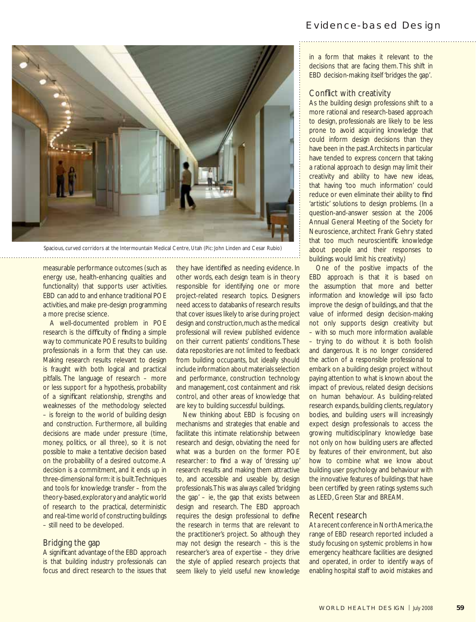# Evidence-based Design



Spacious, curved corridors at the Intermountain Medical Centre, Utah (Pic: John Linden and Cesar Rubio)

measurable performance outcomes (such as energy use, health-enhancing qualities and functionality) that supports user activities. EBD can add to and enhance traditional POE activities, and make pre-design programming a more precise science.

A well-documented problem in POE research is the difficulty of finding a simple way to communicate POE results to building professionals in a form that they can use. Making research results relevant to design is fraught with both logical and practical pitfalls. The language of research – more or less support for a hypothesis, probability of a significant relationship, strengths and weaknesses of the methodology selected – is foreign to the world of building design and construction. Furthermore, all building decisions are made under pressure (time, money, politics, or all three), so it is not possible to make a tentative decision based on the probability of a desired outcome. A decision is a commitment, and it ends up in three-dimensional form: it is built. Techniques and tools for knowledge transfer – from the theory-based, exploratory and analytic world of research to the practical, deterministic and real-time world of constructing buildings – still need to be developed.

### Bridging the gap

A significant advantage of the EBD approach is that building industry professionals can focus and direct research to the issues that

they have identified as needing evidence. In other words, each design team is in theory responsible for identifying one or more project-related research topics. Designers need access to databanks of research results that cover issues likely to arise during project design and construction, much as the medical professional will review published evidence on their current patients' conditions. These data repositories are not limited to feedback from building occupants, but ideally should include information about materials selection and performance, construction technology and management, cost containment and risk control, and other areas of knowledge that are key to building successful buildings.

New thinking about EBD is focusing on mechanisms and strategies that enable and facilitate this intimate relationship between research and design, obviating the need for what was a burden on the former POE researcher: to find a way of 'dressing up' research results and making them attractive to, and accessible and useable by, design professionals. This was always called 'bridging the gap' – ie, the gap that exists between design and research. The EBD approach requires the design professional to define the research in terms that are relevant to the practitioner's project. So although they may not design the research – this is the researcher's area of expertise – they drive the style of applied research projects that seem likely to yield useful new knowledge in a form that makes it relevant to the decisions that are facing them. This shift in EBD decision-making itself 'bridges the gap'.

### Conflict with creativity

As the building design professions shift to a more rational and research-based approach to design, professionals are likely to be less prone to avoid acquiring knowledge that could inform design decisions than they have been in the past. Architects in particular have tended to express concern that taking a rational approach to design may limit their creativity and ability to have new ideas, that having 'too much information' could reduce or even eliminate their ability to find 'artistic' solutions to design problems. (In a question-and-answer session at the 2006 Annual General Meeting of the Society for Neuroscience, architect Frank Gehry stated that too much neuroscientific knowledge about people and their responses to buildings would limit his creativity.)

One of the positive impacts of the EBD approach is that it is based on the assumption that more and better information and knowledge will *ipso facto* improve the design of buildings, and that the value of informed design decision-making not only supports design creativity but – with so much more information available – trying to do without it is both foolish and dangerous. It is no longer considered the action of a responsible professional to embark on a building design project without paying attention to what is known about the impact of previous, related design decisions on human behaviour. As building-related research expands, building clients, regulatory bodies, and building users will increasingly expect design professionals to access the growing multidisciplinary knowledge base not only on how building users are affected by features of their environment, but also how to combine what we know about building user psychology and behaviour with the innovative features of buildings that have been certified by green ratings systems such as LEED, Green Star and BREAM.

### Recent research

At a recent conference in North America, the range of EBD research reported included a study focusing on systemic problems in how emergency healthcare facilities are designed and operated, in order to identify ways of enabling hospital staff to avoid mistakes and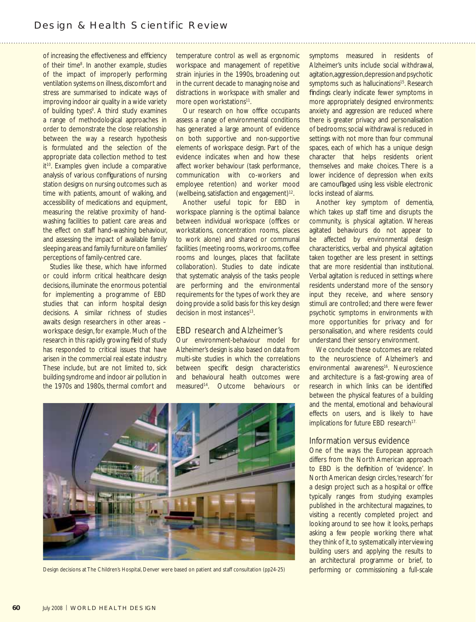of increasing the effectiveness and efficiency of their time8 . In another example, studies of the impact of improperly performing ventilation systems on illness, discomfort and stress are summarised to indicate ways of improving indoor air quality in a wide variety of building types<sup>9</sup>. A third study examines a range of methodological approaches in order to demonstrate the close relationship between the way a research hypothesis is formulated and the selection of the appropriate data collection method to test it<sup>10</sup>. Examples given include a comparative analysis of various configurations of nursing station designs on nursing outcomes such as time with patients, amount of walking, and accessibility of medications and equipment, measuring the relative proximity of handwashing facilities to patient care areas and the effect on staff hand-washing behaviour, and assessing the impact of available family sleeping areas and family furniture on families' perceptions of family-centred care.

Studies like these, which have informed or could inform critical healthcare design decisions, illuminate the enormous potential for implementing a programme of EBD studies that can inform hospital design decisions. A similar richness of studies awaits design researchers in other areas – workspace design, for example. Much of the research in this rapidly growing field of study has responded to critical issues that have arisen in the commercial real estate industry. These include, but are not limited to, sick building syndrome and indoor air pollution in the 1970s and 1980s, thermal comfort and

temperature control as well as ergonomic workspace and management of repetitive strain injuries in the 1990s, broadening out in the current decade to managing noise and distractions in workspace with smaller and more open workstations<sup>11</sup>.

Our research on how office occupants assess a range of environmental conditions has generated a large amount of evidence on both supportive and non-supportive elements of workspace design. Part of the evidence indicates when and how these affect worker behaviour (task performance, communication with co-workers and employee retention) and worker mood (wellbeing, satisfaction and engagement)<sup>12</sup>.

Another useful topic for EBD in workspace planning is the optimal balance between individual workspace (offices or workstations, concentration rooms, places to work alone) and shared or communal facilities (meeting rooms, workrooms, coffee rooms and lounges, places that facilitate collaboration). Studies to date indicate that systematic analysis of the tasks people are performing and the environmental requirements for the types of work they are doing provide a solid basis for this key design decision in most instances<sup>13</sup>.

### EBD research and Alzheimer's

Our environment-behaviour model for Alzheimer's design is also based on data from multi-site studies in which the correlations between specific design characteristics and behavioural health outcomes were measured<sup>14</sup>. Outcome behaviours or

symptoms measured in residents of Alzheimer's units include social withdrawal, agitation, aggression, depression and psychotic symptoms such as hallucinations<sup>15</sup>. Research findings clearly indicate fewer symptoms in more appropriately designed environments: anxiety and aggression are reduced where there is greater privacy and personalisation of bedrooms; social withdrawal is reduced in settings with not more than four communal spaces, each of which has a unique design character that helps residents orient themselves and make choices. There is a lower incidence of depression when exits are camouflaged using less visible electronic locks instead of alarms.

Another key symptom of dementia, which takes up staff time and disrupts the community, is physical agitation. Whereas agitated behaviours do not appear to be affected by environmental design characteristics, verbal and physical agitation taken together are less present in settings that are more residential than institutional. Verbal agitation is reduced in settings where residents understand more of the sensory input they receive, and where sensory stimuli are controlled; and there were fewer psychotic symptoms in environments with more opportunities for privacy and for personalisation, and where residents could understand their sensory environment.

We conclude these outcomes are related to the neuroscience of Alzheimer's and environmental awareness<sup>16</sup>. Neuroscience and architecture is a fast-growing area of research in which links can be identified between the physical features of a building and the mental, emotional and behavioural effects on users, and is likely to have implications for future EBD research<sup>17.</sup>

#### Information versus evidence

One of the ways the European approach differs from the North American approach to EBD is the definition of 'evidence'. In North American design circles, 'research' for a design project such as a hospital or office typically ranges from studying examples published in the architectural magazines, to visiting a recently completed project and looking around to see how it looks, perhaps asking a few people working there what they think of it, to systematically interviewing building users and applying the results to an architectural programme or brief, to



Design decisions at The Children's Hospital, Denver were based on patient and staff consultation (pp24-25) performing or commissioning a full-scale